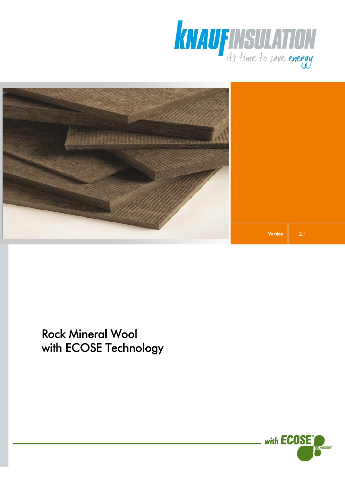



Rock Mineral Wool with ECOSE Technology

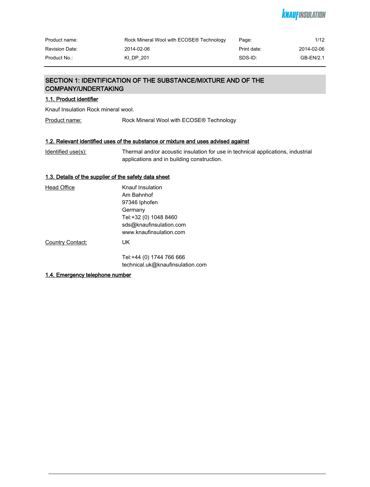# *KNAUFINSULATION*

| Product name:         | Rock Mineral Wool with ECOSE® Technology | Page:       | 1/12       |
|-----------------------|------------------------------------------|-------------|------------|
| <b>Revision Date:</b> | 2014-02-06                               | Print date: | 2014-02-06 |
| Product No.:          | KI DP 201                                | SDS-ID:     | GB-EN/2.1  |

# SECTION 1: IDENTIFICATION OF THE SUBSTANCE/MIXTURE AND OF THE COMPANY/UNDERTAKING

# 1.1. Product identifier

Knauf Insulation Rock mineral wool.

Product name: Rock Mineral Wool with ECOSE® Technology

# 1.2. Relevant identified uses of the substance or mixture and uses advised against

| Identified use(s): | Thermal and/or acoustic insulation for use in technical applications, industrial |
|--------------------|----------------------------------------------------------------------------------|
|                    | applications and in building construction.                                       |

## 1.3. Details of the supplier of the safety data sheet

| <b>Head Office</b> | Knauf Insulation                                             |
|--------------------|--------------------------------------------------------------|
|                    | Am Bahnhof                                                   |
|                    | 97346 Iphofen                                                |
|                    | Germany                                                      |
|                    | Tel:+32 (0) 1048 8460                                        |
|                    | sds@knaufinsulation.com                                      |
|                    | www.knaufinsulation.com                                      |
| Country Contact:   | UK.                                                          |
|                    | Tel:+44 (0) 1744 766 666<br>technical.uk@knaufinsulation.com |
|                    |                                                              |

### 1.4. Emergency telephone number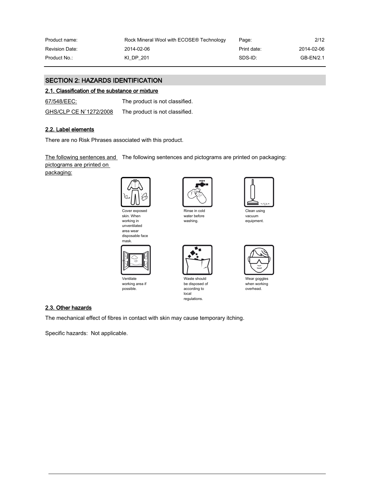| Product name:         | Rock Mineral Wool with ECOSE® Technology | Page:       | 2/12       |
|-----------------------|------------------------------------------|-------------|------------|
| <b>Revision Date:</b> | 2014-02-06                               | Print date: | 2014-02-06 |
| Product No.:          | KI DP 201                                | SDS-ID:     | GB-EN/2.1  |

# SECTION 2: HAZARDS IDENTIFICATION

### 2.1. Classification of the substance or mixture

67/548/EEC: The product is not classified.

| GHS/CLP CE N°1272/2008 | The product is not classified. |
|------------------------|--------------------------------|
|                        |                                |

# 2.2. Label elements

There are no Risk Phrases associated with this product.

<u>The following sentences and</u> The following sentences and pictograms are printed on packaging:

pictograms are printed on

packaging:







Ventilate working area if possible.



Rinse in cold water before washing.



Waste should be disposed of according to local regulations.



Clean using vacuum equipment.



Wear goggles when working overhead.

### 2.3. Other hazards

The mechanical effect of fibres in contact with skin may cause temporary itching.

Specific hazards: Not applicable.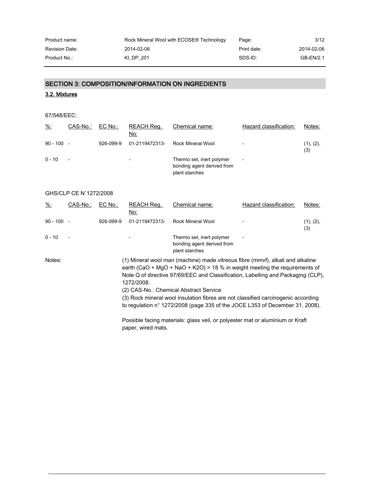| Product name:  | Rock Mineral Wool with ECOSE® Technology | Page:       | 3/12       |
|----------------|------------------------------------------|-------------|------------|
| Revision Date: | 2014-02-06                               | Print date: | 2014-02-06 |
| Product No.:-  | KI DP 201                                | SDS-ID:     | GB-EN/2.1  |

# SECTION 3: COMPOSITION/INFORMATION ON INGREDIENTS

# 3.2. Mixtures

| 67/548/EEC: |  |
|-------------|--|
|-------------|--|

| $\frac{9}{6}$ : | CAS-No.:                 | EC No.:   | REACH Req.<br>No:        | Chemical name:                                                            | Hazard classification:   | Notes:           |
|-----------------|--------------------------|-----------|--------------------------|---------------------------------------------------------------------------|--------------------------|------------------|
| $90 - 100 -$    |                          | 926-099-9 | 01-2119472313-           | Rock Mineral Wool                                                         | $\overline{\phantom{a}}$ | (1), (2),<br>(3) |
| $0 - 10$        | $\overline{\phantom{a}}$ |           | $\overline{\phantom{0}}$ | Thermo set, inert polymer<br>bonding agent derived from<br>plant starches | $\overline{\phantom{a}}$ |                  |

### GHS/CLP CE N°1272/2008

| $\frac{9}{6}$ : | CAS-No.:                 | $EC$ No.: | REACH Reg.<br>No: | Chemical name:                                                                                                                                                                                                                                                                                                                                                                                                                                                           | Hazard classification: | Notes:           |
|-----------------|--------------------------|-----------|-------------------|--------------------------------------------------------------------------------------------------------------------------------------------------------------------------------------------------------------------------------------------------------------------------------------------------------------------------------------------------------------------------------------------------------------------------------------------------------------------------|------------------------|------------------|
| $90 - 100 -$    |                          | 926-099-9 | 01-2119472313-    | Rock Mineral Wool                                                                                                                                                                                                                                                                                                                                                                                                                                                        |                        | (1), (2),<br>(3) |
| $0 - 10$        | $\overline{\phantom{a}}$ |           |                   | Thermo set, inert polymer<br>bonding agent derived from<br>plant starches                                                                                                                                                                                                                                                                                                                                                                                                |                        |                  |
| Notes:          |                          |           | 1272/2008.        | (1) Mineral wool man (machine) made vitreous fibre (mmvf), alkali and alkaline<br>earth (CaO + MgO + NaO + K2O) > 18 % in weight meeting the requirements of<br>Note Q of directive 97/69/EEC and Classification, Labelling and Packaging (CLP),<br>(2) CAS-No.: Chemical Abstract Service<br>(3) Rock mineral wool insulation fibres are not classified carcinogenic according<br>to regulation $n^{\circ}$ 1272/2008 (page 335 of the JOCE L353 of December 31, 2008). |                        |                  |

Possible facing materials: glass veil, or polyester mat or aluminium or Kraft paper, wired mats.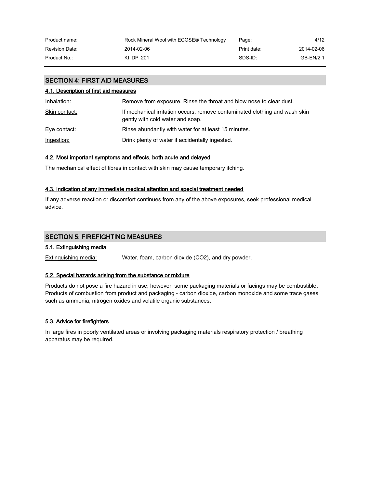| Product name:         | Rock Mineral Wool with ECOSE® Technology | Page:       | 4/12       |
|-----------------------|------------------------------------------|-------------|------------|
| <b>Revision Date:</b> | 2014-02-06                               | Print date: | 2014-02-06 |
| Product No.:          | KI DP 201                                | SDS-ID:     | GB-EN/2.1  |

# SECTION 4: FIRST AID MEASURES

### 4.1. Description of first aid measures

| Inhalation:   | Remove from exposure. Rinse the throat and blow nose to clear dust.                                             |
|---------------|-----------------------------------------------------------------------------------------------------------------|
| Skin contact: | If mechanical irritation occurs, remove contaminated clothing and wash skin<br>gently with cold water and soap. |
| Eye contact:  | Rinse abundantly with water for at least 15 minutes.                                                            |
| Ingestion:    | Drink plenty of water if accidentally ingested.                                                                 |

### 4.2. Most important symptoms and effects, both acute and delayed

The mechanical effect of fibres in contact with skin may cause temporary itching.

### 4.3. Indication of any immediate medical attention and special treatment needed

If any adverse reaction or discomfort continues from any of the above exposures, seek professional medical advice.

# SECTION 5: FIREFIGHTING MEASURES

# 5.1. Extinguishing media

Extinguishing media: Water, foam, carbon dioxide (CO2), and dry powder.

### 5.2. Special hazards arising from the substance or mixture

Products do not pose a fire hazard in use; however, some packaging materials or facings may be combustible. Products of combustion from product and packaging - carbon dioxide, carbon monoxide and some trace gases such as ammonia, nitrogen oxides and volatile organic substances.

### 5.3. Advice for firefighters

In large fires in poorly ventilated areas or involving packaging materials respiratory protection / breathing apparatus may be required.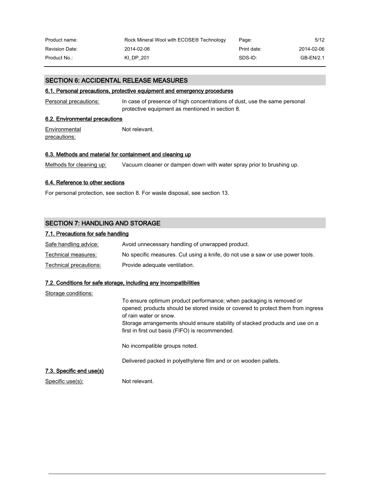| Product name:         | Rock Mineral Wool with ECOSE® Technology | Page:       | 5/12       |
|-----------------------|------------------------------------------|-------------|------------|
| <b>Revision Date:</b> | 2014-02-06                               | Print date: | 2014-02-06 |
| Product No.:          | KI DP 201                                | SDS-ID:     | GB-EN/2.1  |

### SECTION 6: ACCIDENTAL RELEASE MEASURES

### 6.1. Personal precautions, protective equipment and emergency procedures

Personal precautions: In case of presence of high concentrations of dust, use the same personal protective equipment as mentioned in section 8.

### 6.2. Environmental precautions

**Environmental** precautions: Not relevant.

### 6.3. Methods and material for containment and cleaning up

Methods for cleaning up: Vacuum cleaner or dampen down with water spray prior to brushing up.

### 6.4. Reference to other sections

For personal protection, see section 8. For waste disposal, see section 13.

# SECTION 7: HANDLING AND STORAGE

### 7.1. Precautions for safe handling

| Safe handling advice:  | Avoid unnecessary handling of unwrapped product.                              |
|------------------------|-------------------------------------------------------------------------------|
| Technical measures:    | No specific measures. Cut using a knife, do not use a saw or use power tools. |
| Technical precautions: | Provide adequate ventilation.                                                 |

#### 7.2. Conditions for safe storage, including any incompatibilities

| Storage conditions:      |                                                                                                                                                                                                                                                                                                                       |
|--------------------------|-----------------------------------------------------------------------------------------------------------------------------------------------------------------------------------------------------------------------------------------------------------------------------------------------------------------------|
|                          | To ensure optimum product performance; when packaging is removed or<br>opened; products should be stored inside or covered to protect them from ingress<br>of rain water or snow.<br>Storage arrangements should ensure stability of stacked products and use on a<br>first in first out basis (FIFO) is recommended. |
|                          | No incompatible groups noted.                                                                                                                                                                                                                                                                                         |
|                          | Delivered packed in polyethylene film and or on wooden pallets.                                                                                                                                                                                                                                                       |
| 7.3. Specific end use(s) |                                                                                                                                                                                                                                                                                                                       |
| Specific use(s):         | Not relevant.                                                                                                                                                                                                                                                                                                         |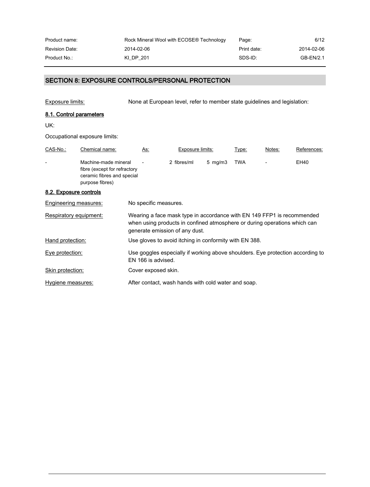| Product name:         | Rock Mineral Wool with ECOSE® Technology | Page:       | 6/12       |
|-----------------------|------------------------------------------|-------------|------------|
| <b>Revision Date:</b> | 2014-02-06                               | Print date: | 2014-02-06 |
| Product No.:          | KI DP 201                                | SDS-ID:     | GB-EN/2.1  |

# SECTION 8: EXPOSURE CONTROLS/PERSONAL PROTECTION

Exposure limits: None at European level, refer to member state guidelines and legislation:

# 8.1. Control parameters

UK:

Occupational exposure limits:

| CAS-No.:               | Chemical name:                                                                                        | As:                   | Exposure limits:                                                                                                                                                                      |                    | Type: | Notes: | References: |
|------------------------|-------------------------------------------------------------------------------------------------------|-----------------------|---------------------------------------------------------------------------------------------------------------------------------------------------------------------------------------|--------------------|-------|--------|-------------|
|                        | Machine-made mineral<br>fibre (except for refractory<br>ceramic fibres and special<br>purpose fibres) |                       | 2 fibres/ml                                                                                                                                                                           | $5 \,$ mg/m $3 \,$ | TWA   |        | EH40        |
| 8.2. Exposure controls |                                                                                                       |                       |                                                                                                                                                                                       |                    |       |        |             |
| Engineering measures:  |                                                                                                       | No specific measures. |                                                                                                                                                                                       |                    |       |        |             |
| Respiratory equipment: |                                                                                                       |                       | Wearing a face mask type in accordance with EN 149 FFP1 is recommended<br>when using products in confined atmosphere or during operations which can<br>generate emission of any dust. |                    |       |        |             |
| Hand protection:       |                                                                                                       |                       | Use gloves to avoid itching in conformity with EN 388.                                                                                                                                |                    |       |        |             |
| Eye protection:        |                                                                                                       | EN 166 is advised.    | Use goggles especially if working above shoulders. Eye protection according to                                                                                                        |                    |       |        |             |
| Skin protection:       |                                                                                                       | Cover exposed skin.   |                                                                                                                                                                                       |                    |       |        |             |
| Hygiene measures:      |                                                                                                       |                       | After contact, wash hands with cold water and soap.                                                                                                                                   |                    |       |        |             |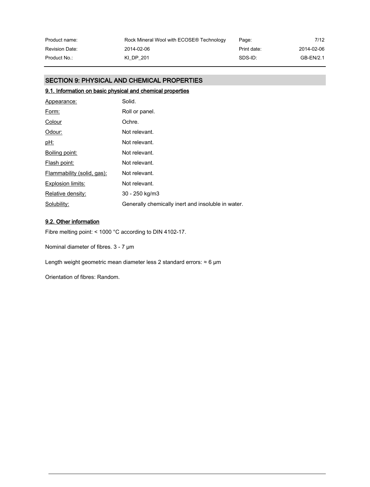| Product name:         | Rock Mineral Wool with ECOSE® Technology | Page:       | 7/12       |
|-----------------------|------------------------------------------|-------------|------------|
| <b>Revision Date:</b> | 2014-02-06                               | Print date: | 2014-02-06 |
| Product No.:          | KI DP 201                                | SDS-ID:     | GB-EN/2.1  |

# SECTION 9: PHYSICAL AND CHEMICAL PROPERTIES

# 9.1. Information on basic physical and chemical properties

| Appearance:                | Solid.                                             |
|----------------------------|----------------------------------------------------|
| Form:                      | Roll or panel.                                     |
| Colour                     | Ochre.                                             |
| Odour:                     | Not relevant.                                      |
| <u>pH:</u>                 | Not relevant.                                      |
| Boiling point:             | Not relevant.                                      |
| Flash point:               | Not relevant.                                      |
| Flammability (solid, gas): | Not relevant.                                      |
| Explosion limits:          | Not relevant.                                      |
| Relative density:          | 30 - 250 kg/m3                                     |
| Solubility:                | Generally chemically inert and insoluble in water. |

# 9.2. Other information

Fibre melting point: < 1000 °C according to DIN 4102-17.

Nominal diameter of fibres. 3 - 7 µm

Length weight geometric mean diameter less 2 standard errors:  $\approx 6$  µm

Orientation of fibres: Random.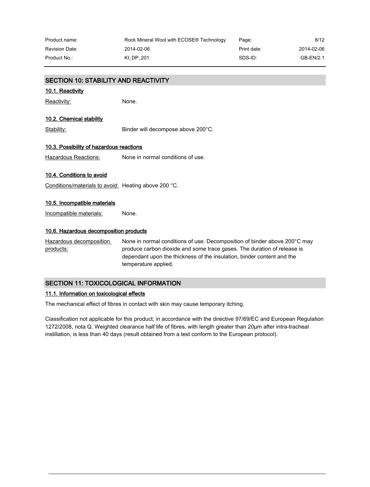| Product name:  | Rock Mineral Wool with ECOSE® Technology | Page:       | 8/12       |
|----------------|------------------------------------------|-------------|------------|
| Revision Date: | 2014-02-06                               | Print date: | 2014-02-06 |
| Product No.: . | KI DP 201                                | SDS-ID:     | GB-EN/2.1  |

| <b>SECTION 10: STABILITY AND REACTIVITY</b>          |                                                                                                                                                                                                                                                        |  |  |
|------------------------------------------------------|--------------------------------------------------------------------------------------------------------------------------------------------------------------------------------------------------------------------------------------------------------|--|--|
| 10.1. Reactivity                                     |                                                                                                                                                                                                                                                        |  |  |
| Reactivity:                                          | None.                                                                                                                                                                                                                                                  |  |  |
| <u>10.2. Chemical stability</u>                      |                                                                                                                                                                                                                                                        |  |  |
| Stability:                                           | Binder will decompose above 200°C.                                                                                                                                                                                                                     |  |  |
| 10.3. Possibility of hazardous reactions             |                                                                                                                                                                                                                                                        |  |  |
| <b>Hazardous Reactions:</b>                          | None in normal conditions of use.                                                                                                                                                                                                                      |  |  |
| 10.4. Conditions to avoid                            |                                                                                                                                                                                                                                                        |  |  |
| Conditions/materials to avoid: Heating above 200 °C. |                                                                                                                                                                                                                                                        |  |  |
| 10.5. Incompatible materials                         |                                                                                                                                                                                                                                                        |  |  |
| Incompatible materials:                              | None.                                                                                                                                                                                                                                                  |  |  |
| 10.6. Hazardous decomposition products               |                                                                                                                                                                                                                                                        |  |  |
| Hazardous decomposition<br>products:                 | None in normal conditions of use. Decomposition of binder above 200°C may<br>produce carbon dioxide and some trace gases. The duration of release is<br>dependant upon the thickness of the insulation, binder content and the<br>temperature applied. |  |  |

# SECTION 11: TOXICOLOGICAL INFORMATION

# 11.1. Information on toxicological effects

The mechanical effect of fibres in contact with skin may cause temporary itching.

Classification not applicable for this product; in accordance with the directive 97/69/EC and European Regulation 1272/2008, nota Q. Weighted clearance half life of fibres, with length greater than 20µm after intra-tracheal instillation, is less than 40 days (result obtained from a test conform to the European protocol).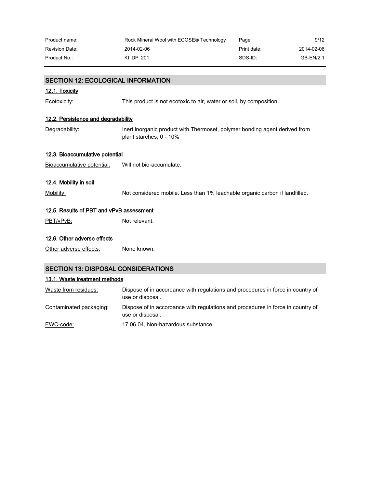| Product name:         | Rock Mineral Wool with ECOSE® Technology | Page:       | 9/12       |
|-----------------------|------------------------------------------|-------------|------------|
| <b>Revision Date:</b> | 2014-02-06                               | Print date: | 2014-02-06 |
| Product No.:          | KI DP 201                                | SDS-ID:     | GB-EN/2.1  |

| <b>SECTION 12: ECOLOGICAL INFORMATION</b>  |                                                                                                       |  |  |  |
|--------------------------------------------|-------------------------------------------------------------------------------------------------------|--|--|--|
| 12.1. Toxicity                             |                                                                                                       |  |  |  |
| Ecotoxicity:                               | This product is not ecotoxic to air, water or soil, by composition.                                   |  |  |  |
| 12.2. Persistence and degradability        |                                                                                                       |  |  |  |
| Degradability:                             | Inert inorganic product with Thermoset, polymer bonding agent derived from<br>plant starches; 0 - 10% |  |  |  |
| 12.3. Bioaccumulative potential            |                                                                                                       |  |  |  |
| Bioaccumulative potential:                 | Will not bio-accumulate.                                                                              |  |  |  |
| 12.4. Mobility in soil                     |                                                                                                       |  |  |  |
| Mobility:                                  | Not considered mobile. Less than 1% leachable organic carbon if landfilled.                           |  |  |  |
| 12.5. Results of PBT and vPvB assessment   |                                                                                                       |  |  |  |
| PBT/vPvB:                                  | Not relevant.                                                                                         |  |  |  |
| 12.6. Other adverse effects                |                                                                                                       |  |  |  |
| Other adverse effects:                     | None known.                                                                                           |  |  |  |
| <b>SECTION 13: DISPOSAL CONSIDERATIONS</b> |                                                                                                       |  |  |  |

# 13.1. Waste treatment methods

| Waste from residues:    | Dispose of in accordance with regulations and procedures in force in country of<br>use or disposal. |
|-------------------------|-----------------------------------------------------------------------------------------------------|
| Contaminated packaging: | Dispose of in accordance with regulations and procedures in force in country of<br>use or disposal. |
| EWC-code:               | 17 06 04, Non-hazardous substance.                                                                  |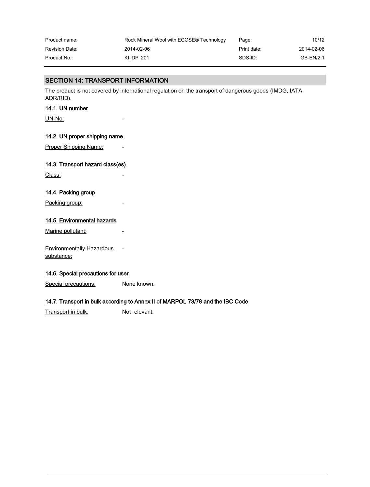| Product name:         | Rock Mineral Wool with ECOSE® Technology | Page:       | 10/12      |
|-----------------------|------------------------------------------|-------------|------------|
| <b>Revision Date:</b> | 2014-02-06                               | Print date: | 2014-02-06 |
| Product No.:          | KI DP 201                                | SDS-ID:     | GB-EN/2.1  |

# SECTION 14: TRANSPORT INFORMATION

The product is not covered by international regulation on the transport of dangerous goods (IMDG, IATA, ADR/RID).

### 14.1. UN number

UN-No:

### 14.2. UN proper shipping name

Proper Shipping Name:

# 14.3. Transport hazard class(es)

Class:

## 14.4. Packing group

Packing group:

### 14.5. Environmental hazards

Marine pollutant:

Environmentally Hazardous substance:

### 14.6. Special precautions for user

Special precautions: None known.

### 14.7. Transport in bulk according to Annex II of MARPOL 73/78 and the IBC Code

Transport in bulk: Not relevant.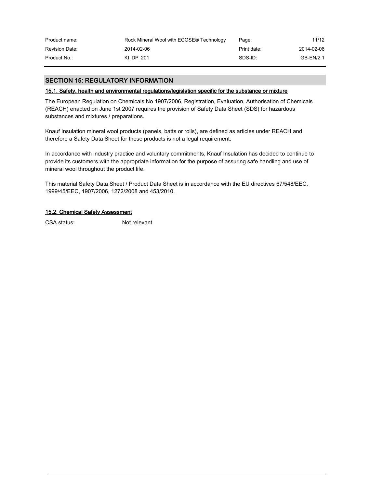| Product name:         | Rock Mineral Wool with ECOSE® Technology | Page:       | 11/12      |
|-----------------------|------------------------------------------|-------------|------------|
| <b>Revision Date:</b> | 2014-02-06                               | Print date: | 2014-02-06 |
| Product No.:          | KI DP 201                                | SDS-ID:     | GB-EN/2.1  |

# SECTION 15: REGULATORY INFORMATION

### 15.1. Safety, health and environmental regulations/legislation specific for the substance or mixture

The European Regulation on Chemicals No 1907/2006, Registration, Evaluation, Authorisation of Chemicals (REACH) enacted on June 1st 2007 requires the provision of Safety Data Sheet (SDS) for hazardous substances and mixtures / preparations.

Knauf Insulation mineral wool products (panels, batts or rolls), are defined as articles under REACH and therefore a Safety Data Sheet for these products is not a legal requirement.

In accordance with industry practice and voluntary commitments, Knauf Insulation has decided to continue to provide its customers with the appropriate information for the purpose of assuring safe handling and use of mineral wool throughout the product life.

This material Safety Data Sheet / Product Data Sheet is in accordance with the EU directives 67/548/EEC, 1999/45/EEC, 1907/2006, 1272/2008 and 453/2010.

### 15.2. Chemical Safety Assessment

CSA status: Not relevant.